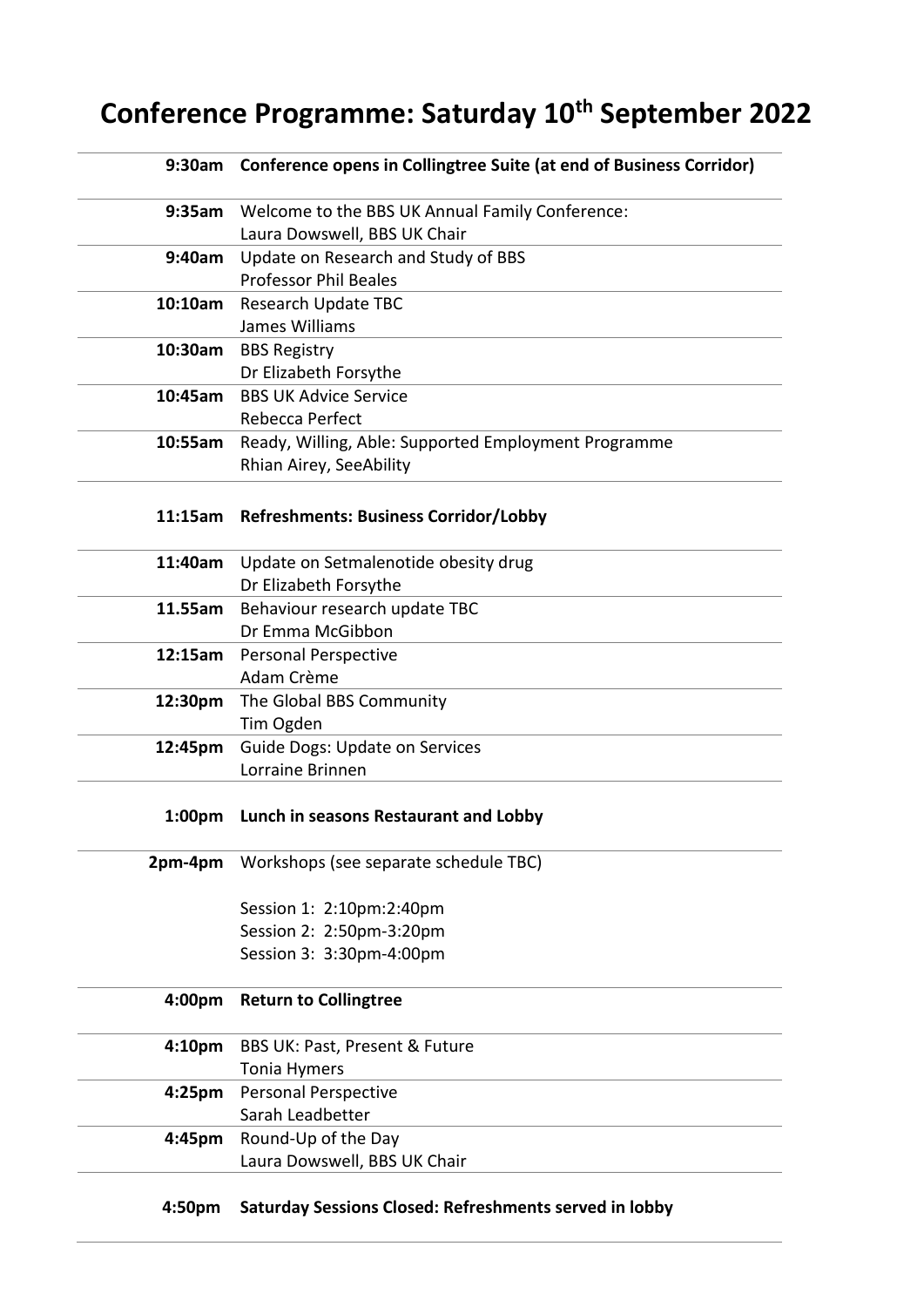## **Conference Programme: Saturday 10th September 2022**

|                    | 9:30am Conference opens in Collingtree Suite (at end of Business Corridor) |
|--------------------|----------------------------------------------------------------------------|
|                    | 9:35am Welcome to the BBS UK Annual Family Conference:                     |
|                    | Laura Dowswell, BBS UK Chair                                               |
| 9:40am             | Update on Research and Study of BBS                                        |
|                    | <b>Professor Phil Beales</b>                                               |
|                    | 10:10am Research Update TBC                                                |
|                    | James Williams                                                             |
|                    | 10:30am BBS Registry                                                       |
|                    | Dr Elizabeth Forsythe                                                      |
|                    | 10:45am BBS UK Advice Service                                              |
|                    | Rebecca Perfect                                                            |
| 10:55am            | Ready, Willing, Able: Supported Employment Programme                       |
|                    | Rhian Airey, SeeAbility                                                    |
|                    | 11:15am Refreshments: Business Corridor/Lobby                              |
| 11:40am            | Update on Setmalenotide obesity drug                                       |
|                    | Dr Elizabeth Forsythe                                                      |
|                    | 11.55am Behaviour research update TBC                                      |
|                    | Dr Emma McGibbon                                                           |
|                    | 12:15am Personal Perspective                                               |
|                    | Adam Crème                                                                 |
|                    | 12:30pm The Global BBS Community                                           |
|                    | Tim Ogden                                                                  |
| 12:45pm            | <b>Guide Dogs: Update on Services</b>                                      |
|                    | Lorraine Brinnen                                                           |
| 1:00 <sub>pm</sub> | Lunch in seasons Restaurant and Lobby                                      |
| 2pm-4pm            | Workshops (see separate schedule TBC)                                      |
|                    | Session 1: 2:10pm:2:40pm                                                   |
|                    | Session 2: 2:50pm-3:20pm                                                   |
|                    | Session 3: 3:30pm-4:00pm                                                   |
| 4:00pm             | <b>Return to Collingtree</b>                                               |
| 4:10pm             | BBS UK: Past, Present & Future                                             |
|                    | <b>Tonia Hymers</b>                                                        |
| 4:25 <sub>pm</sub> | <b>Personal Perspective</b>                                                |
|                    | Sarah Leadbetter                                                           |
| 4:45pm             | Round-Up of the Day                                                        |
|                    | Laura Dowswell, BBS UK Chair                                               |
|                    |                                                                            |

## **4:50pm Saturday Sessions Closed: Refreshments served in lobby**